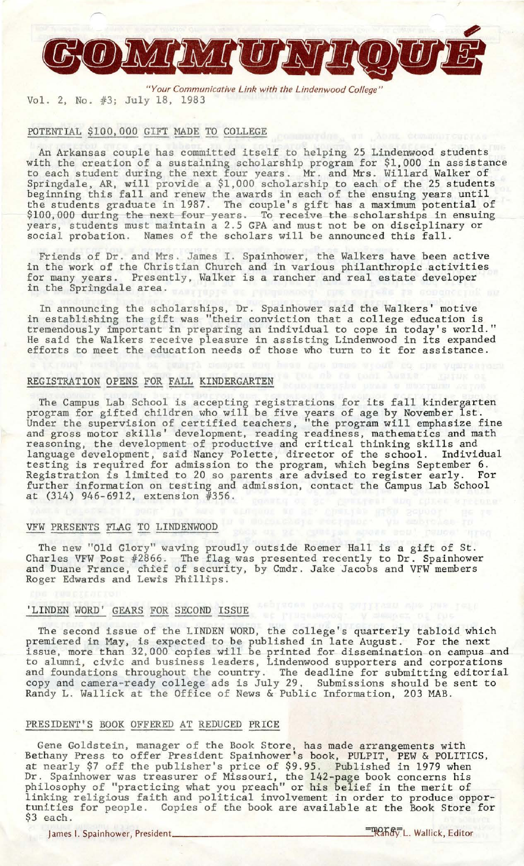

*"Your Communicative Link with the Lindenwood College"*  Vol. 2, No. #3; July 18, 1983

#### POTENTIAL \$100,000 GIFT MADE TO COLLEGE

An Arkansas couple has committed itself to helping 25 Lindenwood students with the creation of a sustaining scholarship program for \$1,000 in assistance to each student during the next four years. Mr. and Mrs . Willard Walker of Springdale, AR, will provide a \$1,000 scholarship to each of the 25 students beginning this fall and renew the awards in each of the ensuing years until the students graduate in 1987. The couple's gift has a maximum potential of \$100,000 during the next four years. To receive the scholarships in ensuing<br>years, students must maintain a 2.5 GPA and must not be on disciplinary or social probation. Names of the scholars will be announced this fall.

Friends of Dr. and Mrs. James I. Spainhower, the Walkers have been active in the work of the Christian Church and in various philanthropic activities for many years. Presently, Walker is a rancher and real estate developer in the Springdale area.

In announcing the scholarships, Dr. Spainhower said the Walkers' motive in establishing the gift was ''their conviction that a college education is tremendously important in preparing an individual to cope in today's world." He said the Walkers receive pleasure in assisting Lindenwood in its expanded efforts to meet the education needs of those who turn to it for assistance.

#### REGISTRATION OPENS FOR FALL KINDERGARTEN

The Campus Lab School is accepting registrations for its fall kindergarten program for gifted children who will be five years of age by November 1st. Under the supervision of certified teachers, "the program will emphasize fine and gross motor skills' development, reading readiness, mathematics and math reasoning, the development of productive and critical thinking skills and language development, said Nancy Polette, director of the school. Individual testing is required for admission *to* the program, which begins September 6. Registration is limited to 20 so parents are advised to register early. For further information on testing and admission, contact the Campus Lab School at (314) 946-6912, extension *<sup>11356</sup> .* 

VFW PRESENTS FLAG TO LINDENWOOD<br>The new "Old Glory" waving proudly outside Roemer Hall is a gift of St. Charles VFW Post *<sup>112866</sup> .* The flag was presented recently to Dr. Spainhower and Duane France, chief of security, by Cmdr. Jake Jacobs and VFW members Roger Edwards and Lewis Phillips.

### 'LINDEN WORD' GEARS FOR SECOND ISSUE

The second issue of the LINDEN WORD, the college's quarterly tabloid which premiered in May, is expected to be published in late August. For the next issue, more than 32,000 copies will be printed for dissemination on campus and to alumni, civic and business leaders, Lindenwood supporters and corporations and foundations throughout the country. The deadline for submitting editorial copy and camera-ready college ads is July 29. Submissions should be sent to Randy L. Wallick at the Office of News & Public Information, 203 MAB.

## PRESIDENT'S BOOK OFFERED AT REDUCED PRICE

Gene Goldstein, manager of the Book Store, has made arrangements with Bethany Press to offer President Spainhower's book, PULPIT, PEW & POLITICS, at nearly \$7 off the publisher's price of \$9.95. Published in 1979 when Dr. Spainhower was treasurer of Missouri, the 142-page book concerns his philosophy of "practicing what you preach" or his belief in the merit of linking religious faith and political involvement in order to produce opportunities for people. Copies of the book are available at the Book Store for \$3 each.

James I. Spainhower, President \_\_\_\_\_\_\_\_\_\_\_\_\_\_\_\_\_ =\_~ti9;L. Wallick, Editor